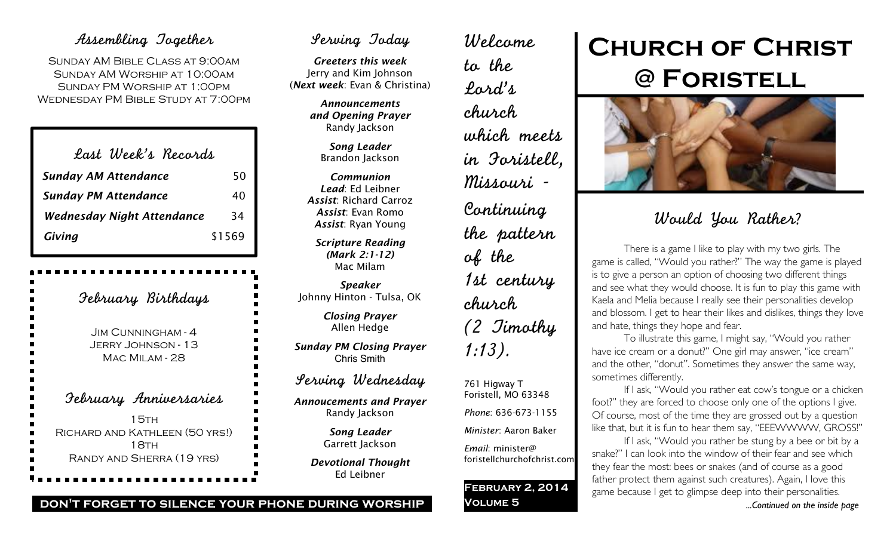## Assembling Together

Sunday AM Bible Class at 9:00am Sunday AM Worship at 10:00am Sunday PM Worship at 1:00pm Wednesday PM Bible Study at 7:00pm

| Last Week's Records               |        |
|-----------------------------------|--------|
| <b>Sunday AM Attendance</b>       | 50     |
| <b>Sunday PM Attendance</b>       | 40     |
| <b>Wednesday Night Attendance</b> | 34     |
| Giving                            | \$1569 |

| Jebruary Birthdays                                                          |
|-----------------------------------------------------------------------------|
| Jim Cunningham - 4<br>Jerry Johnson - 13<br>MAC MILAM - 28                  |
| February Anniversaries<br>ı                                                 |
| 15тн<br>RICHARD AND KATHLEEN (50 YRS!)<br>18тн<br>RANDY AND SHERRA (19 YRS) |

# Serving Today

*Greeters this week* Jerry and Kim Johnson (*Next week*: Evan & Christina)

> *Announcements and Opening Prayer* Randy Jackson

> > *Song Leader* Brandon Jackson

*Communion Lead*: Ed Leibner *Assist*: Richard Carroz *Assist*: Evan Romo *Assist*: Ryan Young

*Scripture Reading (Mark 2:1-12)* Mac Milam

*Speaker* Johnny Hinton - Tulsa, OK

> *Closing Prayer* Allen Hedge

*Sunday PM Closing Prayer* Chris Smith

Serving Wednesday

*Annoucements and Prayer* Randy Jackson

> *Song Leader* Garrett Jackson

*Devotional Thought* Ed Leibner

to the Lord's church which meets in Foristell, Missouri - Continuing the pattern of the 1st century church (2 Timothy 1:13). 761 Higway T Foristell, MO 63348

Welcome

### *Phone*: 636-673-1155

*Minister*: Aaron Baker

*Email*: minister@ foristellchurchofchrist.com

**February 2, 2014 Volume 5**

# **Church of Christ @ Foristell**



# Would You Rather?

There is a game I like to play with my two girls. The game is called, "Would you rather?" The way the game is played is to give a person an option of choosing two different things and see what they would choose. It is fun to play this game with Kaela and Melia because I really see their personalities develop and blossom. I get to hear their likes and dislikes, things they love and hate, things they hope and fear.

To illustrate this game, I might say, "Would you rather have ice cream or a donut?" One girl may answer, "ice cream" and the other, "donut". Sometimes they answer the same way, sometimes differently.

If I ask, "Would you rather eat cow's tongue or a chicken foot?" they are forced to choose only one of the options I give. Of course, most of the time they are grossed out by a question like that, but it is fun to hear them say, "EEEWWWW, GROSS!"

If I ask, "Would you rather be stung by a bee or bit by a snake?" I can look into the window of their fear and see which they fear the most: bees or snakes (and of course as a good father protect them against such creatures). Again, I love this game because I get to glimpse deep into their personalities. *...Continued on the inside page*

#### **don't forget to silence your phone during worship**